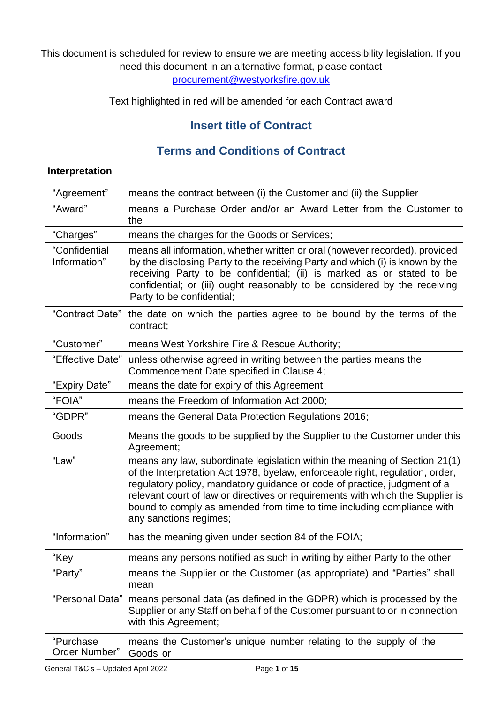#### This document is scheduled for review to ensure we are meeting accessibility legislation. If you need this document in an alternative format, please contact [procurement@westyorksfire.gov.uk](mailto:procurement@westyorksfire.gov.uk)

Text highlighted in red will be amended for each Contract award

# **Insert title of Contract**

# **Terms and Conditions of Contract**

#### **Interpretation**

| "Agreement"                   | means the contract between (i) the Customer and (ii) the Supplier                                                                                                                                                                                                                                                                                                                                                             |
|-------------------------------|-------------------------------------------------------------------------------------------------------------------------------------------------------------------------------------------------------------------------------------------------------------------------------------------------------------------------------------------------------------------------------------------------------------------------------|
| "Award"                       | means a Purchase Order and/or an Award Letter from the Customer to<br>the                                                                                                                                                                                                                                                                                                                                                     |
| "Charges"                     | means the charges for the Goods or Services;                                                                                                                                                                                                                                                                                                                                                                                  |
| "Confidential<br>Information" | means all information, whether written or oral (however recorded), provided<br>by the disclosing Party to the receiving Party and which (i) is known by the<br>receiving Party to be confidential; (ii) is marked as or stated to be<br>confidential; or (iii) ought reasonably to be considered by the receiving<br>Party to be confidential;                                                                                |
| "Contract Date"               | the date on which the parties agree to be bound by the terms of the<br>contract;                                                                                                                                                                                                                                                                                                                                              |
| "Customer"                    | means West Yorkshire Fire & Rescue Authority;                                                                                                                                                                                                                                                                                                                                                                                 |
| "Effective Date"              | unless otherwise agreed in writing between the parties means the<br>Commencement Date specified in Clause 4;                                                                                                                                                                                                                                                                                                                  |
| "Expiry Date"                 | means the date for expiry of this Agreement;                                                                                                                                                                                                                                                                                                                                                                                  |
| "FOIA"                        | means the Freedom of Information Act 2000;                                                                                                                                                                                                                                                                                                                                                                                    |
| "GDPR"                        | means the General Data Protection Regulations 2016;                                                                                                                                                                                                                                                                                                                                                                           |
| Goods                         | Means the goods to be supplied by the Supplier to the Customer under this<br>Agreement;                                                                                                                                                                                                                                                                                                                                       |
| "Law"                         | means any law, subordinate legislation within the meaning of Section 21(1)<br>of the Interpretation Act 1978, byelaw, enforceable right, regulation, order,<br>regulatory policy, mandatory guidance or code of practice, judgment of a<br>relevant court of law or directives or requirements with which the Supplier is<br>bound to comply as amended from time to time including compliance with<br>any sanctions regimes; |
| "Information"                 | has the meaning given under section 84 of the FOIA;                                                                                                                                                                                                                                                                                                                                                                           |
| "Key                          | means any persons notified as such in writing by either Party to the other                                                                                                                                                                                                                                                                                                                                                    |
| "Party"                       | means the Supplier or the Customer (as appropriate) and "Parties" shall<br>mean                                                                                                                                                                                                                                                                                                                                               |
| "Personal Data"               | means personal data (as defined in the GDPR) which is processed by the<br>Supplier or any Staff on behalf of the Customer pursuant to or in connection<br>with this Agreement;                                                                                                                                                                                                                                                |
| "Purchase<br>Order Number"    | means the Customer's unique number relating to the supply of the<br>Goods or                                                                                                                                                                                                                                                                                                                                                  |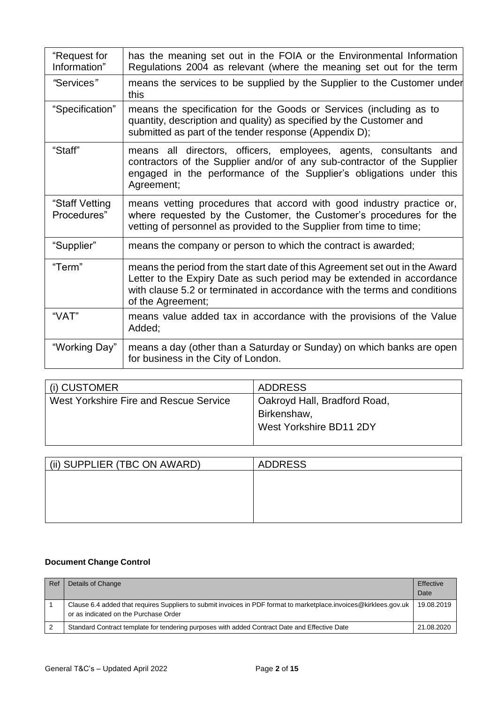| "Request for<br>Information"  | has the meaning set out in the FOIA or the Environmental Information<br>Regulations 2004 as relevant (where the meaning set out for the term                                                                                                            |
|-------------------------------|---------------------------------------------------------------------------------------------------------------------------------------------------------------------------------------------------------------------------------------------------------|
| "Services"                    | means the services to be supplied by the Supplier to the Customer under<br>this                                                                                                                                                                         |
| "Specification"               | means the specification for the Goods or Services (including as to<br>quantity, description and quality) as specified by the Customer and<br>submitted as part of the tender response (Appendix D);                                                     |
| "Staff"                       | means all directors, officers, employees, agents, consultants and<br>contractors of the Supplier and/or of any sub-contractor of the Supplier<br>engaged in the performance of the Supplier's obligations under this<br>Agreement;                      |
| "Staff Vetting<br>Procedures" | means vetting procedures that accord with good industry practice or,<br>where requested by the Customer, the Customer's procedures for the<br>vetting of personnel as provided to the Supplier from time to time;                                       |
| "Supplier"                    | means the company or person to which the contract is awarded;                                                                                                                                                                                           |
| "Term"                        | means the period from the start date of this Agreement set out in the Award<br>Letter to the Expiry Date as such period may be extended in accordance<br>with clause 5.2 or terminated in accordance with the terms and conditions<br>of the Agreement; |
| "VAT"                         | means value added tax in accordance with the provisions of the Value<br>Added;                                                                                                                                                                          |
| "Working Day"                 | means a day (other than a Saturday or Sunday) on which banks are open<br>for business in the City of London.                                                                                                                                            |

| ∣ (i) CUSTOMER                         | <b>ADDRESS</b>               |
|----------------------------------------|------------------------------|
| West Yorkshire Fire and Rescue Service | Oakroyd Hall, Bradford Road, |
|                                        | Birkenshaw,                  |
|                                        | West Yorkshire BD11 2DY      |
|                                        |                              |

| (ii) SUPPLIER (TBC ON AWARD) | <b>ADDRESS</b> |
|------------------------------|----------------|
|                              |                |
|                              |                |
|                              |                |
|                              |                |

#### **Document Change Control**

| Ref | Details of Change                                                                                                                                          | Effective<br>Date |
|-----|------------------------------------------------------------------------------------------------------------------------------------------------------------|-------------------|
|     | Clause 6.4 added that requires Suppliers to submit invoices in PDF format to marketplace.invoices@kirklees.gov.uk<br>or as indicated on the Purchase Order | 19.08.2019        |
|     | Standard Contract template for tendering purposes with added Contract Date and Effective Date                                                              | 21.08.2020        |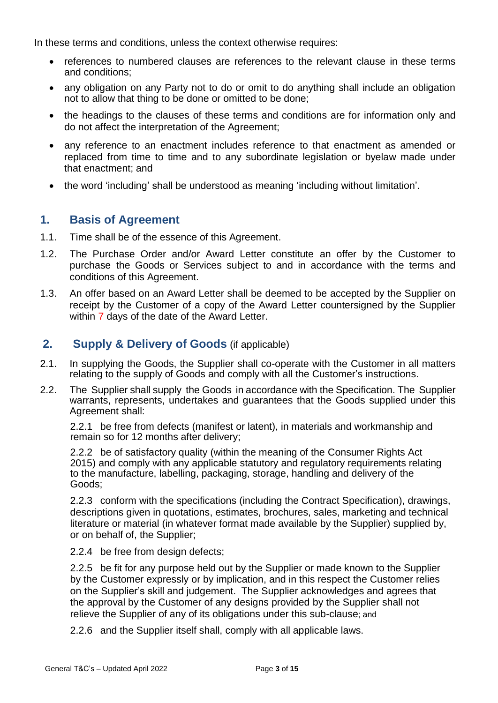In these terms and conditions, unless the context otherwise requires:

- references to numbered clauses are references to the relevant clause in these terms and conditions;
- any obligation on any Party not to do or omit to do anything shall include an obligation not to allow that thing to be done or omitted to be done;
- the headings to the clauses of these terms and conditions are for information only and do not affect the interpretation of the Agreement;
- any reference to an enactment includes reference to that enactment as amended or replaced from time to time and to any subordinate legislation or byelaw made under that enactment; and
- the word 'including' shall be understood as meaning 'including without limitation'.

## **1. Basis of Agreement**

- 1.1. Time shall be of the essence of this Agreement.
- 1.2. The Purchase Order and/or Award Letter constitute an offer by the Customer to purchase the Goods or Services subject to and in accordance with the terms and conditions of this Agreement.
- 1.3. An offer based on an Award Letter shall be deemed to be accepted by the Supplier on receipt by the Customer of a copy of the Award Letter countersigned by the Supplier within 7 days of the date of the Award Letter.

## **2. Supply & Delivery of Goods** (if applicable)

- 2.1. In supplying the Goods, the Supplier shall co-operate with the Customer in all matters relating to the supply of Goods and comply with all the Customer's instructions.
- 2.2. The Supplier shall supply the Goods in accordance with the Specification. The Supplier warrants, represents, undertakes and guarantees that the Goods supplied under this Agreement shall:

2.2.1 be free from defects (manifest or latent), in materials and workmanship and remain so for 12 months after delivery;

2.2.2 be of satisfactory quality (within the meaning of the Consumer Rights Act 2015) and comply with any applicable statutory and regulatory requirements relating to the manufacture, labelling, packaging, storage, handling and delivery of the Goods;

2.2.3 conform with the specifications (including the Contract Specification), drawings, descriptions given in quotations, estimates, brochures, sales, marketing and technical literature or material (in whatever format made available by the Supplier) supplied by, or on behalf of, the Supplier;

2.2.4 be free from design defects;

2.2.5 be fit for any purpose held out by the Supplier or made known to the Supplier by the Customer expressly or by implication, and in this respect the Customer relies on the Supplier's skill and judgement. The Supplier acknowledges and agrees that the approval by the Customer of any designs provided by the Supplier shall not relieve the Supplier of any of its obligations under this sub-clause; and

2.2.6 and the Supplier itself shall, comply with all applicable laws.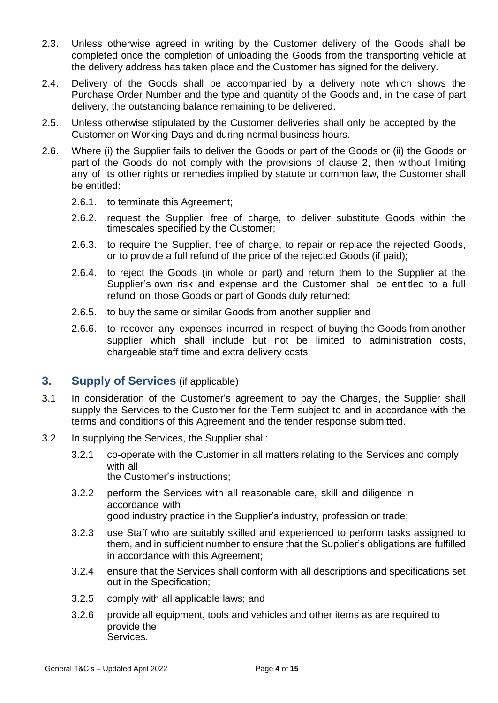- 2.3. Unless otherwise agreed in writing by the Customer delivery of the Goods shall be completed once the completion of unloading the Goods from the transporting vehicle at the delivery address has taken place and the Customer has signed for the delivery.
- 2.4. Delivery of the Goods shall be accompanied by a delivery note which shows the Purchase Order Number and the type and quantity of the Goods and, in the case of part delivery, the outstanding balance remaining to be delivered.
- 2.5. Unless otherwise stipulated by the Customer deliveries shall only be accepted by the Customer on Working Days and during normal business hours.
- 2.6. Where (i) the Supplier fails to deliver the Goods or part of the Goods or (ii) the Goods or part of the Goods do not comply with the provisions of clause 2, then without limiting any of its other rights or remedies implied by statute or common law, the Customer shall be entitled:
	- 2.6.1. to terminate this Agreement;
	- 2.6.2. request the Supplier, free of charge, to deliver substitute Goods within the timescales specified by the Customer;
	- 2.6.3. to require the Supplier, free of charge, to repair or replace the rejected Goods, or to provide a full refund of the price of the rejected Goods (if paid);
	- 2.6.4. to reject the Goods (in whole or part) and return them to the Supplier at the Supplier's own risk and expense and the Customer shall be entitled to a full refund on those Goods or part of Goods duly returned;
	- 2.6.5. to buy the same or similar Goods from another supplier and
	- 2.6.6. to recover any expenses incurred in respect of buying the Goods from another supplier which shall include but not be limited to administration costs, chargeable staff time and extra delivery costs.

#### **3. Supply of Services** (if applicable)

- 3.1 In consideration of the Customer's agreement to pay the Charges, the Supplier shall supply the Services to the Customer for the Term subject to and in accordance with the terms and conditions of this Agreement and the tender response submitted.
- 3.2 In supplying the Services, the Supplier shall:
	- 3.2.1 co-operate with the Customer in all matters relating to the Services and comply with all the Customer's instructions;
	- 3.2.2 perform the Services with all reasonable care, skill and diligence in accordance with good industry practice in the Supplier's industry, profession or trade;
	- 3.2.3 use Staff who are suitably skilled and experienced to perform tasks assigned to them, and in sufficient number to ensure that the Supplier's obligations are fulfilled in accordance with this Agreement;
	- 3.2.4 ensure that the Services shall conform with all descriptions and specifications set out in the Specification;
	- 3.2.5 comply with all applicable laws; and
	- 3.2.6 provide all equipment, tools and vehicles and other items as are required to provide the Services.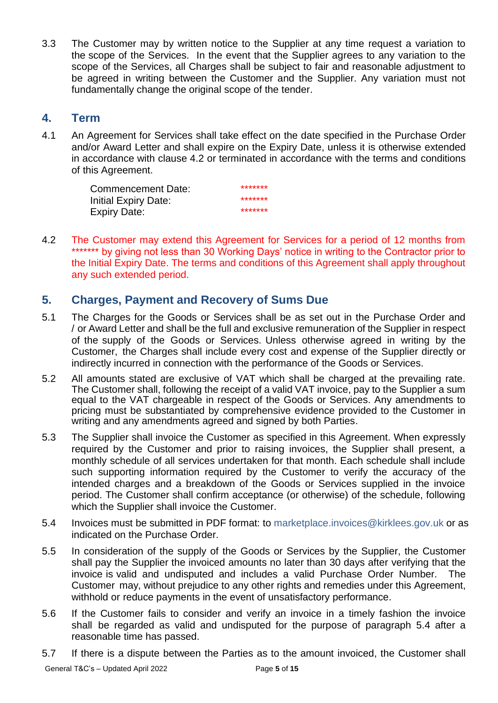3.3 The Customer may by written notice to the Supplier at any time request a variation to the scope of the Services. In the event that the Supplier agrees to any variation to the scope of the Services, all Charges shall be subject to fair and reasonable adjustment to be agreed in writing between the Customer and the Supplier. Any variation must not fundamentally change the original scope of the tender.

#### **4. Term**

4.1 An Agreement for Services shall take effect on the date specified in the Purchase Order and/or Award Letter and shall expire on the Expiry Date, unless it is otherwise extended in accordance with clause 4.2 or terminated in accordance with the terms and conditions of this Agreement.

> Commencement Date:<br>Initial Evein: Date: \*\*\*\*\*\*\* Initial Expiry Date: \*\*\*\*\*\*\* Expiry Date:

4.2 The Customer may extend this Agreement for Services for a period of 12 months from \*\*\*\*\*\*\*\* by giving not less than 30 Working Days' notice in writing to the Contractor prior to the Initial Expiry Date. The terms and conditions of this Agreement shall apply throughout any such extended period.

# **5. Charges, Payment and Recovery of Sums Due**

- 5.1 The Charges for the Goods or Services shall be as set out in the Purchase Order and / or Award Letter and shall be the full and exclusive remuneration of the Supplier in respect of the supply of the Goods or Services. Unless otherwise agreed in writing by the Customer, the Charges shall include every cost and expense of the Supplier directly or indirectly incurred in connection with the performance of the Goods or Services.
- 5.2 All amounts stated are exclusive of VAT which shall be charged at the prevailing rate. The Customer shall, following the receipt of a valid VAT invoice, pay to the Supplier a sum equal to the VAT chargeable in respect of the Goods or Services. Any amendments to pricing must be substantiated by comprehensive evidence provided to the Customer in writing and any amendments agreed and signed by both Parties.
- 5.3 The Supplier shall invoice the Customer as specified in this Agreement. When expressly required by the Customer and prior to raising invoices, the Supplier shall present, a monthly schedule of all services undertaken for that month. Each schedule shall include such supporting information required by the Customer to verify the accuracy of the intended charges and a breakdown of the Goods or Services supplied in the invoice period. The Customer shall confirm acceptance (or otherwise) of the schedule, following which the Supplier shall invoice the Customer.
- 5.4 Invoices must be submitted in PDF format: to [marketplace.invoices@kirklees.gov.uk](mailto:marketplace.invoices@kirklees.gov.uk) or as indicated on the Purchase Order.
- 5.5 In consideration of the supply of the Goods or Services by the Supplier, the Customer shall pay the Supplier the invoiced amounts no later than 30 days after verifying that the invoice is valid and undisputed and includes a valid Purchase Order Number. The Customer may, without prejudice to any other rights and remedies under this Agreement, withhold or reduce payments in the event of unsatisfactory performance.
- 5.6 If the Customer fails to consider and verify an invoice in a timely fashion the invoice shall be regarded as valid and undisputed for the purpose of paragraph 5.4 after a reasonable time has passed.
- 5.7 If there is a dispute between the Parties as to the amount invoiced, the Customer shall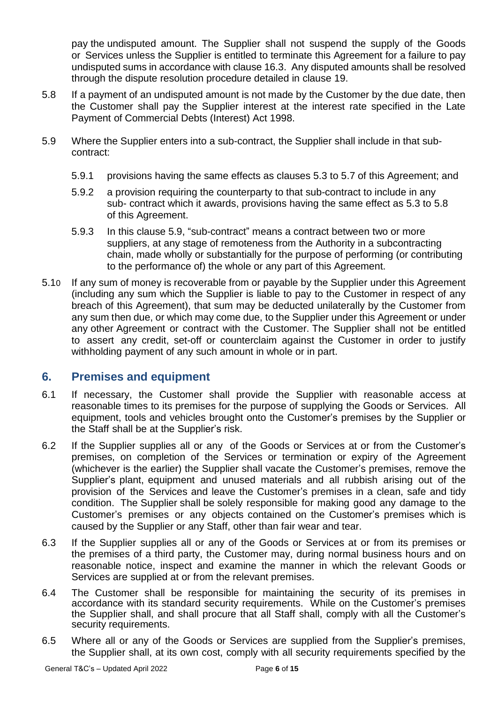pay the undisputed amount. The Supplier shall not suspend the supply of the Goods or Services unless the Supplier is entitled to terminate this Agreement for a failure to pay undisputed sums in accordance with clause 16.3. Any disputed amounts shall be resolved through the dispute resolution procedure detailed in clause 19.

- 5.8 If a payment of an undisputed amount is not made by the Customer by the due date, then the Customer shall pay the Supplier interest at the interest rate specified in the Late Payment of Commercial Debts (Interest) Act 1998.
- 5.9 Where the Supplier enters into a sub-contract, the Supplier shall include in that subcontract:
	- 5.9.1 provisions having the same effects as clauses 5.3 to 5.7 of this Agreement; and
	- 5.9.2 a provision requiring the counterparty to that sub-contract to include in any sub- contract which it awards, provisions having the same effect as 5.3 to 5.8 of this Agreement.
	- 5.9.3 In this clause 5.9, "sub-contract" means a contract between two or more suppliers, at any stage of remoteness from the Authority in a subcontracting chain, made wholly or substantially for the purpose of performing (or contributing to the performance of) the whole or any part of this Agreement.
- 5.10 If any sum of money is recoverable from or payable by the Supplier under this Agreement (including any sum which the Supplier is liable to pay to the Customer in respect of any breach of this Agreement), that sum may be deducted unilaterally by the Customer from any sum then due, or which may come due, to the Supplier under this Agreement or under any other Agreement or contract with the Customer. The Supplier shall not be entitled to assert any credit, set-off or counterclaim against the Customer in order to justify withholding payment of any such amount in whole or in part.

## **6. Premises and equipment**

- 6.1 If necessary, the Customer shall provide the Supplier with reasonable access at reasonable times to its premises for the purpose of supplying the Goods or Services. All equipment, tools and vehicles brought onto the Customer's premises by the Supplier or the Staff shall be at the Supplier's risk.
- 6.2 If the Supplier supplies all or any of the Goods or Services at or from the Customer's premises, on completion of the Services or termination or expiry of the Agreement (whichever is the earlier) the Supplier shall vacate the Customer's premises, remove the Supplier's plant, equipment and unused materials and all rubbish arising out of the provision of the Services and leave the Customer's premises in a clean, safe and tidy condition. The Supplier shall be solely responsible for making good any damage to the Customer's premises or any objects contained on the Customer's premises which is caused by the Supplier or any Staff, other than fair wear and tear.
- 6.3 If the Supplier supplies all or any of the Goods or Services at or from its premises or the premises of a third party, the Customer may, during normal business hours and on reasonable notice, inspect and examine the manner in which the relevant Goods or Services are supplied at or from the relevant premises.
- 6.4 The Customer shall be responsible for maintaining the security of its premises in accordance with its standard security requirements. While on the Customer's premises the Supplier shall, and shall procure that all Staff shall, comply with all the Customer's security requirements.
- 6.5 Where all or any of the Goods or Services are supplied from the Supplier's premises, the Supplier shall, at its own cost, comply with all security requirements specified by the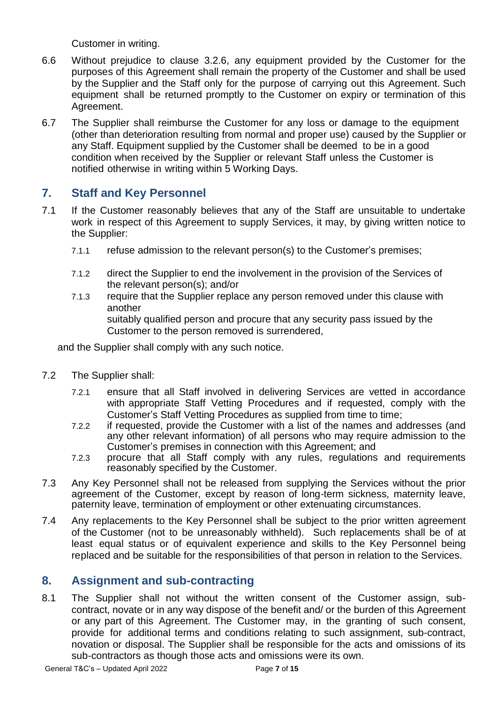Customer in writing.

- 6.6 Without prejudice to clause 3.2.6, any equipment provided by the Customer for the purposes of this Agreement shall remain the property of the Customer and shall be used by the Supplier and the Staff only for the purpose of carrying out this Agreement. Such equipment shall be returned promptly to the Customer on expiry or termination of this Agreement.
- 6.7 The Supplier shall reimburse the Customer for any loss or damage to the equipment (other than deterioration resulting from normal and proper use) caused by the Supplier or any Staff. Equipment supplied by the Customer shall be deemed to be in a good condition when received by the Supplier or relevant Staff unless the Customer is notified otherwise in writing within 5 Working Days.

## **7. Staff and Key Personnel**

- 7.1 If the Customer reasonably believes that any of the Staff are unsuitable to undertake work in respect of this Agreement to supply Services, it may, by giving written notice to the Supplier:
	- 7.1.1 refuse admission to the relevant person(s) to the Customer's premises;
	- 7.1.2 direct the Supplier to end the involvement in the provision of the Services of the relevant person(s); and/or
	- 7.1.3 require that the Supplier replace any person removed under this clause with another suitably qualified person and procure that any security pass issued by the Customer to the person removed is surrendered,

and the Supplier shall comply with any such notice.

- 7.2 The Supplier shall:
	- 7.2.1 ensure that all Staff involved in delivering Services are vetted in accordance with appropriate Staff Vetting Procedures and if requested, comply with the Customer's Staff Vetting Procedures as supplied from time to time;
	- 7.2.2 if requested, provide the Customer with a list of the names and addresses (and any other relevant information) of all persons who may require admission to the Customer's premises in connection with this Agreement; and
	- 7.2.3 procure that all Staff comply with any rules, regulations and requirements reasonably specified by the Customer.
- 7.3 Any Key Personnel shall not be released from supplying the Services without the prior agreement of the Customer, except by reason of long-term sickness, maternity leave, paternity leave, termination of employment or other extenuating circumstances.
- 7.4 Any replacements to the Key Personnel shall be subject to the prior written agreement of the Customer (not to be unreasonably withheld). Such replacements shall be of at least equal status or of equivalent experience and skills to the Key Personnel being replaced and be suitable for the responsibilities of that person in relation to the Services.

# **8. Assignment and sub-contracting**

8.1 The Supplier shall not without the written consent of the Customer assign, subcontract, novate or in any way dispose of the benefit and/ or the burden of this Agreement or any part of this Agreement. The Customer may, in the granting of such consent, provide for additional terms and conditions relating to such assignment, sub-contract, novation or disposal. The Supplier shall be responsible for the acts and omissions of its sub-contractors as though those acts and omissions were its own.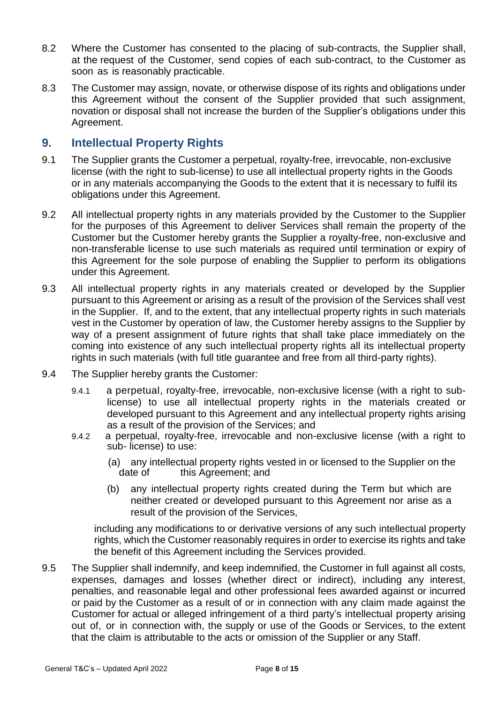- 8.2 Where the Customer has consented to the placing of sub-contracts, the Supplier shall, at the request of the Customer, send copies of each sub-contract, to the Customer as soon as is reasonably practicable.
- 8.3 The Customer may assign, novate, or otherwise dispose of its rights and obligations under this Agreement without the consent of the Supplier provided that such assignment, novation or disposal shall not increase the burden of the Supplier's obligations under this Agreement.

## **9. Intellectual Property Rights**

- 9.1 The Supplier grants the Customer a perpetual, royalty-free, irrevocable, non-exclusive license (with the right to sub-license) to use all intellectual property rights in the Goods or in any materials accompanying the Goods to the extent that it is necessary to fulfil its obligations under this Agreement.
- 9.2 All intellectual property rights in any materials provided by the Customer to the Supplier for the purposes of this Agreement to deliver Services shall remain the property of the Customer but the Customer hereby grants the Supplier a royalty-free, non-exclusive and non-transferable license to use such materials as required until termination or expiry of this Agreement for the sole purpose of enabling the Supplier to perform its obligations under this Agreement.
- 9.3 All intellectual property rights in any materials created or developed by the Supplier pursuant to this Agreement or arising as a result of the provision of the Services shall vest in the Supplier. If, and to the extent, that any intellectual property rights in such materials vest in the Customer by operation of law, the Customer hereby assigns to the Supplier by way of a present assignment of future rights that shall take place immediately on the coming into existence of any such intellectual property rights all its intellectual property rights in such materials (with full title guarantee and free from all third-party rights).
- 9.4 The Supplier hereby grants the Customer:
	- 9.4.1 a perpetual, royalty-free, irrevocable, non-exclusive license (with a right to sublicense) to use all intellectual property rights in the materials created or developed pursuant to this Agreement and any intellectual property rights arising as a result of the provision of the Services; and
	- 9.4.2 a perpetual, royalty-free, irrevocable and non-exclusive license (with a right to sub- license) to use:
		- (a) any intellectual property rights vested in or licensed to the Supplier on the date of this Agreement; and
		- (b) any intellectual property rights created during the Term but which are neither created or developed pursuant to this Agreement nor arise as a result of the provision of the Services,

including any modifications to or derivative versions of any such intellectual property rights, which the Customer reasonably requires in order to exercise its rights and take the benefit of this Agreement including the Services provided.

9.5 The Supplier shall indemnify, and keep indemnified, the Customer in full against all costs, expenses, damages and losses (whether direct or indirect), including any interest, penalties, and reasonable legal and other professional fees awarded against or incurred or paid by the Customer as a result of or in connection with any claim made against the Customer for actual or alleged infringement of a third party's intellectual property arising out of, or in connection with, the supply or use of the Goods or Services, to the extent that the claim is attributable to the acts or omission of the Supplier or any Staff.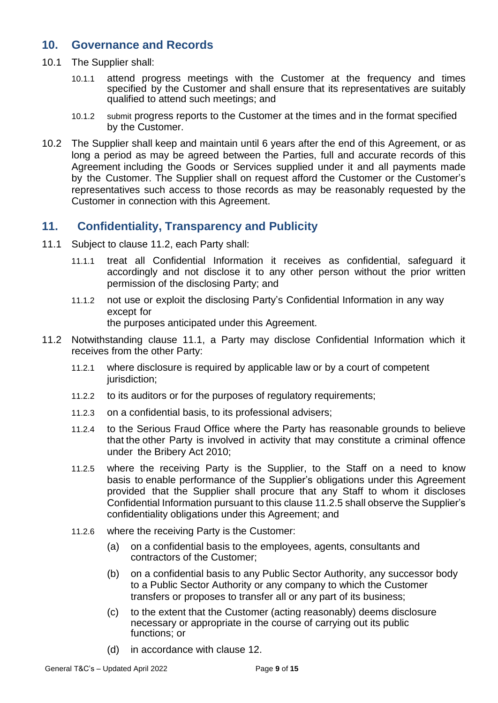#### **10. Governance and Records**

- 10.1 The Supplier shall:
	- 10.1.1 attend progress meetings with the Customer at the frequency and times specified by the Customer and shall ensure that its representatives are suitably qualified to attend such meetings; and
	- 10.1.2 submit progress reports to the Customer at the times and in the format specified by the Customer.
- 10.2 The Supplier shall keep and maintain until 6 years after the end of this Agreement, or as long a period as may be agreed between the Parties, full and accurate records of this Agreement including the Goods or Services supplied under it and all payments made by the Customer. The Supplier shall on request afford the Customer or the Customer's representatives such access to those records as may be reasonably requested by the Customer in connection with this Agreement.

#### **11. Confidentiality, Transparency and Publicity**

- 11.1 Subject to clause 11.2, each Party shall:
	- 11.1.1 treat all Confidential Information it receives as confidential, safeguard it accordingly and not disclose it to any other person without the prior written permission of the disclosing Party; and
	- 11.1.2 not use or exploit the disclosing Party's Confidential Information in any way except for the purposes anticipated under this Agreement.
- 11.2 Notwithstanding clause 11.1, a Party may disclose Confidential Information which it receives from the other Party:
	- 11.2.1 where disclosure is required by applicable law or by a court of competent jurisdiction;
	- 11.2.2 to its auditors or for the purposes of regulatory requirements;
	- 11.2.3 on a confidential basis, to its professional advisers;
	- 11.2.4 to the Serious Fraud Office where the Party has reasonable grounds to believe that the other Party is involved in activity that may constitute a criminal offence under the Bribery Act 2010;
	- 11.2.5 where the receiving Party is the Supplier, to the Staff on a need to know basis to enable performance of the Supplier's obligations under this Agreement provided that the Supplier shall procure that any Staff to whom it discloses Confidential Information pursuant to this clause 11.2.5 shall observe the Supplier's confidentiality obligations under this Agreement; and
	- 11.2.6 where the receiving Party is the Customer:
		- (a) on a confidential basis to the employees, agents, consultants and contractors of the Customer;
		- (b) on a confidential basis to any Public Sector Authority, any successor body to a Public Sector Authority or any company to which the Customer transfers or proposes to transfer all or any part of its business;
		- (c) to the extent that the Customer (acting reasonably) deems disclosure necessary or appropriate in the course of carrying out its public functions; or
		- (d) in accordance with clause 12.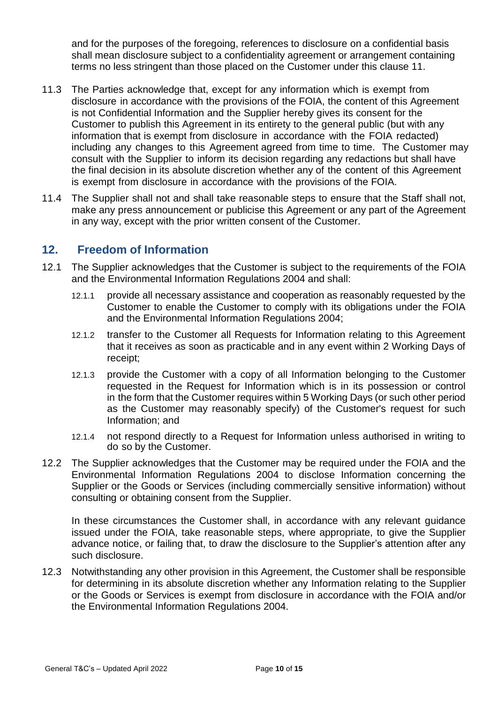and for the purposes of the foregoing, references to disclosure on a confidential basis shall mean disclosure subject to a confidentiality agreement or arrangement containing terms no less stringent than those placed on the Customer under this clause 11.

- 11.3 The Parties acknowledge that, except for any information which is exempt from disclosure in accordance with the provisions of the FOIA, the content of this Agreement is not Confidential Information and the Supplier hereby gives its consent for the Customer to publish this Agreement in its entirety to the general public (but with any information that is exempt from disclosure in accordance with the FOIA redacted) including any changes to this Agreement agreed from time to time. The Customer may consult with the Supplier to inform its decision regarding any redactions but shall have the final decision in its absolute discretion whether any of the content of this Agreement is exempt from disclosure in accordance with the provisions of the FOIA.
- 11.4 The Supplier shall not and shall take reasonable steps to ensure that the Staff shall not, make any press announcement or publicise this Agreement or any part of the Agreement in any way, except with the prior written consent of the Customer.

## **12. Freedom of Information**

- 12.1 The Supplier acknowledges that the Customer is subject to the requirements of the FOIA and the Environmental Information Regulations 2004 and shall:
	- 12.1.1 provide all necessary assistance and cooperation as reasonably requested by the Customer to enable the Customer to comply with its obligations under the FOIA and the Environmental Information Regulations 2004;
	- 12.1.2 transfer to the Customer all Requests for Information relating to this Agreement that it receives as soon as practicable and in any event within 2 Working Days of receipt;
	- 12.1.3 provide the Customer with a copy of all Information belonging to the Customer requested in the Request for Information which is in its possession or control in the form that the Customer requires within 5 Working Days (or such other period as the Customer may reasonably specify) of the Customer's request for such Information; and
	- 12.1.4 not respond directly to a Request for Information unless authorised in writing to do so by the Customer.
- 12.2 The Supplier acknowledges that the Customer may be required under the FOIA and the Environmental Information Regulations 2004 to disclose Information concerning the Supplier or the Goods or Services (including commercially sensitive information) without consulting or obtaining consent from the Supplier.

In these circumstances the Customer shall, in accordance with any relevant guidance issued under the FOIA, take reasonable steps, where appropriate, to give the Supplier advance notice, or failing that, to draw the disclosure to the Supplier's attention after any such disclosure.

12.3 Notwithstanding any other provision in this Agreement, the Customer shall be responsible for determining in its absolute discretion whether any Information relating to the Supplier or the Goods or Services is exempt from disclosure in accordance with the FOIA and/or the Environmental Information Regulations 2004.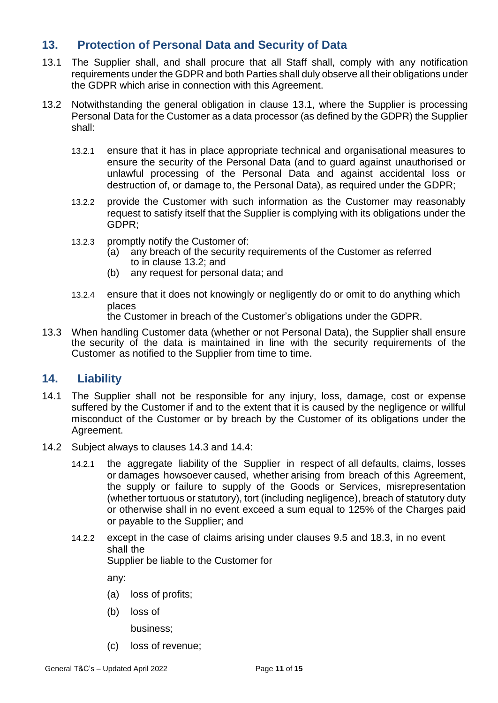# **13. Protection of Personal Data and Security of Data**

- 13.1 The Supplier shall, and shall procure that all Staff shall, comply with any notification requirements under the GDPR and both Parties shall duly observe all their obligations under the GDPR which arise in connection with this Agreement.
- 13.2 Notwithstanding the general obligation in clause 13.1, where the Supplier is processing Personal Data for the Customer as a data processor (as defined by the GDPR) the Supplier shall:
	- 13.2.1 ensure that it has in place appropriate technical and organisational measures to ensure the security of the Personal Data (and to guard against unauthorised or unlawful processing of the Personal Data and against accidental loss or destruction of, or damage to, the Personal Data), as required under the GDPR;
	- 13.2.2 provide the Customer with such information as the Customer may reasonably request to satisfy itself that the Supplier is complying with its obligations under the GDPR;
	- 13.2.3 promptly notify the Customer of:
		- (a) any breach of the security requirements of the Customer as referred to in clause 13.2; and
		- (b) any request for personal data; and
	- 13.2.4 ensure that it does not knowingly or negligently do or omit to do anything which places

the Customer in breach of the Customer's obligations under the GDPR.

13.3 When handling Customer data (whether or not Personal Data), the Supplier shall ensure the security of the data is maintained in line with the security requirements of the Customer as notified to the Supplier from time to time.

## **14. Liability**

- 14.1 The Supplier shall not be responsible for any injury, loss, damage, cost or expense suffered by the Customer if and to the extent that it is caused by the negligence or willful misconduct of the Customer or by breach by the Customer of its obligations under the Agreement.
- 14.2 Subject always to clauses 14.3 and 14.4:
	- 14.2.1 the aggregate liability of the Supplier in respect of all defaults, claims, losses or damages howsoever caused, whether arising from breach of this Agreement, the supply or failure to supply of the Goods or Services, misrepresentation (whether tortuous or statutory), tort (including negligence), breach of statutory duty or otherwise shall in no event exceed a sum equal to 125% of the Charges paid or payable to the Supplier; and
	- 14.2.2 except in the case of claims arising under clauses 9.5 and 18.3, in no event shall the

Supplier be liable to the Customer for

any:

- (a) loss of profits;
- (b) loss of

business;

(c) loss of revenue;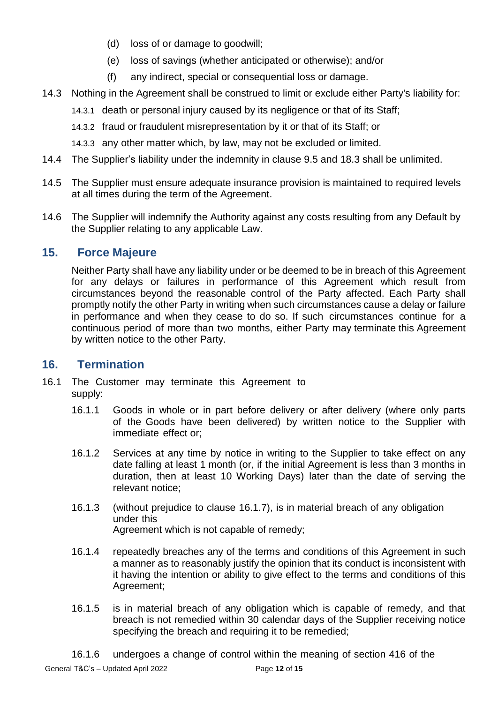- (d) loss of or damage to goodwill;
- (e) loss of savings (whether anticipated or otherwise); and/or
- (f) any indirect, special or consequential loss or damage.
- 14.3 Nothing in the Agreement shall be construed to limit or exclude either Party's liability for:
	- 14.3.1 death or personal injury caused by its negligence or that of its Staff;
	- 14.3.2 fraud or fraudulent misrepresentation by it or that of its Staff; or
	- 14.3.3 any other matter which, by law, may not be excluded or limited.
- 14.4 The Supplier's liability under the indemnity in clause 9.5 and 18.3 shall be unlimited.
- 14.5 The Supplier must ensure adequate insurance provision is maintained to required levels at all times during the term of the Agreement.
- 14.6 The Supplier will indemnify the Authority against any costs resulting from any Default by the Supplier relating to any applicable Law.

# **15. Force Majeure**

Neither Party shall have any liability under or be deemed to be in breach of this Agreement for any delays or failures in performance of this Agreement which result from circumstances beyond the reasonable control of the Party affected. Each Party shall promptly notify the other Party in writing when such circumstances cause a delay or failure in performance and when they cease to do so. If such circumstances continue for a continuous period of more than two months, either Party may terminate this Agreement by written notice to the other Party.

## **16. Termination**

- 16.1 The Customer may terminate this Agreement to supply:
	- 16.1.1 Goods in whole or in part before delivery or after delivery (where only parts of the Goods have been delivered) by written notice to the Supplier with immediate effect or;
	- 16.1.2 Services at any time by notice in writing to the Supplier to take effect on any date falling at least 1 month (or, if the initial Agreement is less than 3 months in duration, then at least 10 Working Days) later than the date of serving the relevant notice;
	- 16.1.3 (without prejudice to clause 16.1.7), is in material breach of any obligation under this Agreement which is not capable of remedy;
	- 16.1.4 repeatedly breaches any of the terms and conditions of this Agreement in such a manner as to reasonably justify the opinion that its conduct is inconsistent with it having the intention or ability to give effect to the terms and conditions of this Agreement;
	- 16.1.5 is in material breach of any obligation which is capable of remedy, and that breach is not remedied within 30 calendar days of the Supplier receiving notice specifying the breach and requiring it to be remedied;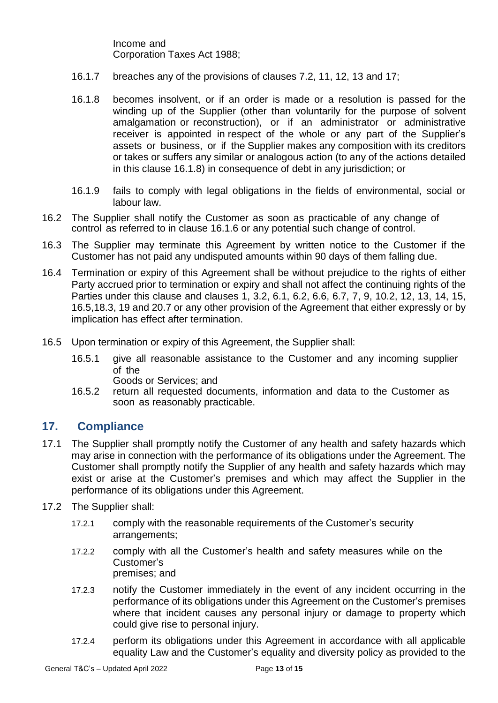Income and Corporation Taxes Act 1988;

- 16.1.7 breaches any of the provisions of clauses 7.2, 11, 12, 13 and 17;
- 16.1.8 becomes insolvent, or if an order is made or a resolution is passed for the winding up of the Supplier (other than voluntarily for the purpose of solvent amalgamation or reconstruction), or if an administrator or administrative receiver is appointed in respect of the whole or any part of the Supplier's assets or business, or if the Supplier makes any composition with its creditors or takes or suffers any similar or analogous action (to any of the actions detailed in this clause 16.1.8) in consequence of debt in any jurisdiction; or
- 16.1.9 fails to comply with legal obligations in the fields of environmental, social or labour law.
- 16.2 The Supplier shall notify the Customer as soon as practicable of any change of control as referred to in clause 16.1.6 or any potential such change of control.
- 16.3 The Supplier may terminate this Agreement by written notice to the Customer if the Customer has not paid any undisputed amounts within 90 days of them falling due.
- 16.4 Termination or expiry of this Agreement shall be without prejudice to the rights of either Party accrued prior to termination or expiry and shall not affect the continuing rights of the Parties under this clause and clauses 1, 3.2, 6.1, 6.2, 6.6, 6.7, 7, 9, 10.2, 12, 13, 14, 15, 16.5,18.3, 19 and 20.7 or any other provision of the Agreement that either expressly or by implication has effect after termination.
- 16.5 Upon termination or expiry of this Agreement, the Supplier shall:
	- 16.5.1 give all reasonable assistance to the Customer and any incoming supplier of the
		- Goods or Services; and
	- 16.5.2 return all requested documents, information and data to the Customer as soon as reasonably practicable.

#### **17. Compliance**

- 17.1 The Supplier shall promptly notify the Customer of any health and safety hazards which may arise in connection with the performance of its obligations under the Agreement. The Customer shall promptly notify the Supplier of any health and safety hazards which may exist or arise at the Customer's premises and which may affect the Supplier in the performance of its obligations under this Agreement.
- 17.2 The Supplier shall:
	- 17.2.1 comply with the reasonable requirements of the Customer's security arrangements;
	- 17.2.2 comply with all the Customer's health and safety measures while on the Customer's premises; and
	- 17.2.3 notify the Customer immediately in the event of any incident occurring in the performance of its obligations under this Agreement on the Customer's premises where that incident causes any personal injury or damage to property which could give rise to personal injury.
	- 17.2.4 perform its obligations under this Agreement in accordance with all applicable equality Law and the Customer's equality and diversity policy as provided to the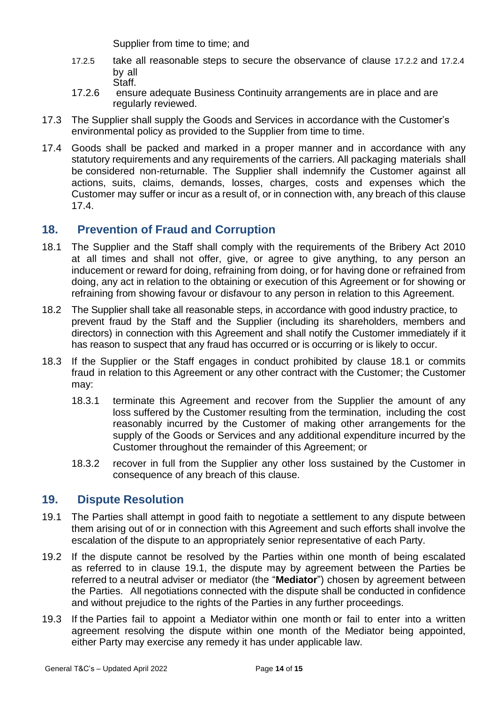Supplier from time to time; and

- 17.2.5 take all reasonable steps to secure the observance of clause 17.2.2 and 17.2.4 by all Staff.
- 17.2.6 ensure adequate Business Continuity arrangements are in place and are regularly reviewed.
- 17.3 The Supplier shall supply the Goods and Services in accordance with the Customer's environmental policy as provided to the Supplier from time to time.
- 17.4 Goods shall be packed and marked in a proper manner and in accordance with any statutory requirements and any requirements of the carriers. All packaging materials shall be considered non-returnable. The Supplier shall indemnify the Customer against all actions, suits, claims, demands, losses, charges, costs and expenses which the Customer may suffer or incur as a result of, or in connection with, any breach of this clause 17.4.

# **18. Prevention of Fraud and Corruption**

- 18.1 The Supplier and the Staff shall comply with the requirements of the Bribery Act 2010 at all times and shall not offer, give, or agree to give anything, to any person an inducement or reward for doing, refraining from doing, or for having done or refrained from doing, any act in relation to the obtaining or execution of this Agreement or for showing or refraining from showing favour or disfavour to any person in relation to this Agreement.
- 18.2 The Supplier shall take all reasonable steps, in accordance with good industry practice, to prevent fraud by the Staff and the Supplier (including its shareholders, members and directors) in connection with this Agreement and shall notify the Customer immediately if it has reason to suspect that any fraud has occurred or is occurring or is likely to occur.
- 18.3 If the Supplier or the Staff engages in conduct prohibited by clause 18.1 or commits fraud in relation to this Agreement or any other contract with the Customer; the Customer may:
	- 18.3.1 terminate this Agreement and recover from the Supplier the amount of any loss suffered by the Customer resulting from the termination, including the cost reasonably incurred by the Customer of making other arrangements for the supply of the Goods or Services and any additional expenditure incurred by the Customer throughout the remainder of this Agreement; or
	- 18.3.2 recover in full from the Supplier any other loss sustained by the Customer in consequence of any breach of this clause.

## **19. Dispute Resolution**

- 19.1 The Parties shall attempt in good faith to negotiate a settlement to any dispute between them arising out of or in connection with this Agreement and such efforts shall involve the escalation of the dispute to an appropriately senior representative of each Party.
- 19.2 If the dispute cannot be resolved by the Parties within one month of being escalated as referred to in clause 19.1, the dispute may by agreement between the Parties be referred to a neutral adviser or mediator (the "**Mediator**") chosen by agreement between the Parties. All negotiations connected with the dispute shall be conducted in confidence and without prejudice to the rights of the Parties in any further proceedings.
- 19.3 If the Parties fail to appoint a Mediator within one month or fail to enter into a written agreement resolving the dispute within one month of the Mediator being appointed, either Party may exercise any remedy it has under applicable law.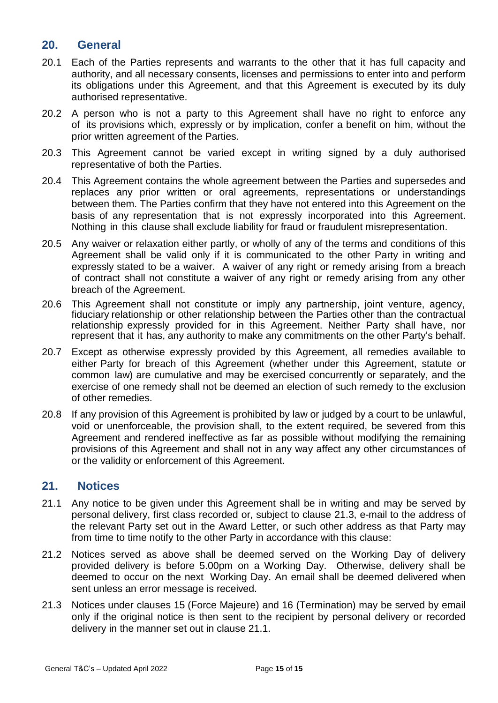#### **20. General**

- 20.1 Each of the Parties represents and warrants to the other that it has full capacity and authority, and all necessary consents, licenses and permissions to enter into and perform its obligations under this Agreement, and that this Agreement is executed by its duly authorised representative.
- 20.2 A person who is not a party to this Agreement shall have no right to enforce any of its provisions which, expressly or by implication, confer a benefit on him, without the prior written agreement of the Parties.
- 20.3 This Agreement cannot be varied except in writing signed by a duly authorised representative of both the Parties.
- 20.4 This Agreement contains the whole agreement between the Parties and supersedes and replaces any prior written or oral agreements, representations or understandings between them. The Parties confirm that they have not entered into this Agreement on the basis of any representation that is not expressly incorporated into this Agreement. Nothing in this clause shall exclude liability for fraud or fraudulent misrepresentation.
- 20.5 Any waiver or relaxation either partly, or wholly of any of the terms and conditions of this Agreement shall be valid only if it is communicated to the other Party in writing and expressly stated to be a waiver. A waiver of any right or remedy arising from a breach of contract shall not constitute a waiver of any right or remedy arising from any other breach of the Agreement.
- 20.6 This Agreement shall not constitute or imply any partnership, joint venture, agency, fiduciary relationship or other relationship between the Parties other than the contractual relationship expressly provided for in this Agreement. Neither Party shall have, nor represent that it has, any authority to make any commitments on the other Party's behalf.
- 20.7 Except as otherwise expressly provided by this Agreement, all remedies available to either Party for breach of this Agreement (whether under this Agreement, statute or common law) are cumulative and may be exercised concurrently or separately, and the exercise of one remedy shall not be deemed an election of such remedy to the exclusion of other remedies.
- 20.8 If any provision of this Agreement is prohibited by law or judged by a court to be unlawful, void or unenforceable, the provision shall, to the extent required, be severed from this Agreement and rendered ineffective as far as possible without modifying the remaining provisions of this Agreement and shall not in any way affect any other circumstances of or the validity or enforcement of this Agreement.

#### **21. Notices**

- 21.1 Any notice to be given under this Agreement shall be in writing and may be served by personal delivery, first class recorded or, subject to clause 21.3, e-mail to the address of the relevant Party set out in the Award Letter, or such other address as that Party may from time to time notify to the other Party in accordance with this clause:
- 21.2 Notices served as above shall be deemed served on the Working Day of delivery provided delivery is before 5.00pm on a Working Day. Otherwise, delivery shall be deemed to occur on the next Working Day. An email shall be deemed delivered when sent unless an error message is received.
- 21.3 Notices under clauses 15 (Force Majeure) and 16 (Termination) may be served by email only if the original notice is then sent to the recipient by personal delivery or recorded delivery in the manner set out in clause 21.1.